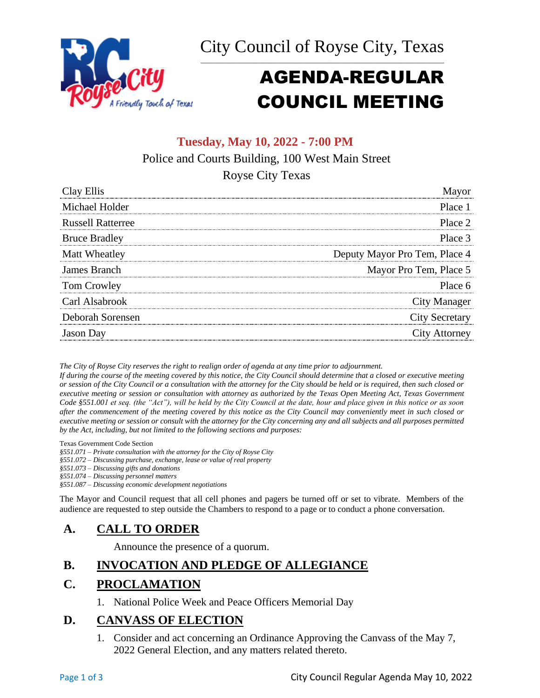



# AGENDA-REGULAR COUNCIL MEETING

### **Tuesday, May 10, 2022 - 7:00 PM**

Police and Courts Building, 100 West Main Street

Royse City Texas

| Clay Ellis               |                               |
|--------------------------|-------------------------------|
| Michael Holder           | Place 1                       |
| <b>Russell Ratterree</b> | Place 2                       |
| <b>Bruce Bradley</b>     | Place 3                       |
| Matt Wheatley            | Deputy Mayor Pro Tem, Place 4 |
| James Branch             | Mayor Pro Tem, Place 5        |
| Tom Crowley              | Place 6                       |
| Carl Alsabrook           | <b>City Manager</b>           |
| Deborah Sorensen         | <b>City Secretary</b>         |
| <b>Jason</b> Day         | <b>City Attorney</b>          |

*The City of Royse City reserves the right to realign order of agenda at any time prior to adjournment.*

*If during the course of the meeting covered by this notice, the City Council should determine that a closed or executive meeting or session of the City Council or a consultation with the attorney for the City should be held or is required, then such closed or executive meeting or session or consultation with attorney as authorized by the Texas Open Meeting Act, Texas Government Code §551.001 et seq. (the "Act"), will be held by the City Council at the date, hour and place given in this notice or as soon after the commencement of the meeting covered by this notice as the City Council may conveniently meet in such closed or executive meeting or session or consult with the attorney for the City concerning any and all subjects and all purposes permitted by the Act, including, but not limited to the following sections and purposes:*

Texas Government Code Section

*§551.071 – Private consultation with the attorney for the City of Royse City* 

*§551.072 – Discussing purchase, exchange, lease or value of real property* 

*§551.073 – Discussing gifts and donations*

*§551.074 – Discussing personnel matters*

*§551.087 – Discussing economic development negotiations*

The Mayor and Council request that all cell phones and pagers be turned off or set to vibrate. Members of the audience are requested to step outside the Chambers to respond to a page or to conduct a phone conversation.

# **A. CALL TO ORDER**

Announce the presence of a quorum.

# **B. INVOCATION AND PLEDGE OF ALLEGIANCE**

# **C. PROCLAMATION**

1. National Police Week and Peace Officers Memorial Day

### **D. CANVASS OF ELECTION**

1. Consider and act concerning an Ordinance Approving the Canvass of the May 7, 2022 General Election, and any matters related thereto.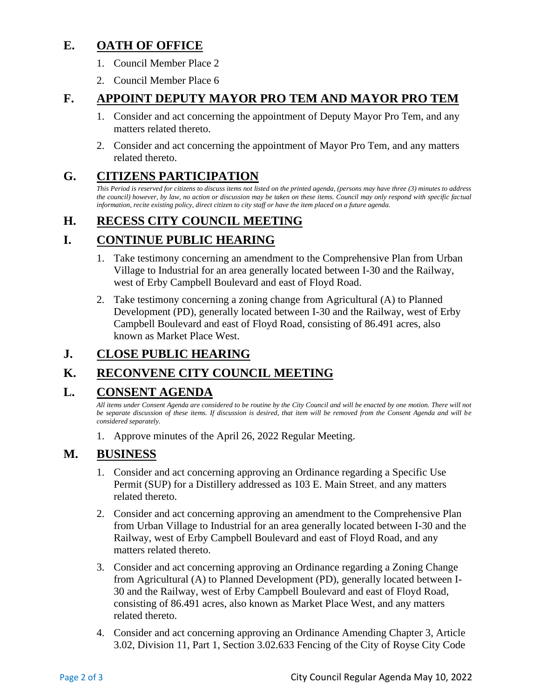# **E. OATH OF OFFICE**

- 1. Council Member Place 2
- 2. Council Member Place 6

# **F. APPOINT DEPUTY MAYOR PRO TEM AND MAYOR PRO TEM**

- 1. Consider and act concerning the appointment of Deputy Mayor Pro Tem, and any matters related thereto.
- 2. Consider and act concerning the appointment of Mayor Pro Tem, and any matters related thereto.

# **G. CITIZENS PARTICIPATION**

*This Period is reserved for citizens to discuss items not listed on the printed agenda, (persons may have three (3) minutes to address the council) however, by law, no action or discussion may be taken on these items. Council may only respond with specific factual information, recite existing policy, direct citizen to city staff or have the item placed on a future agenda.*

# **H. RECESS CITY COUNCIL MEETING**

# **I. CONTINUE PUBLIC HEARING**

- 1. Take testimony concerning an amendment to the Comprehensive Plan from Urban Village to Industrial for an area generally located between I-30 and the Railway, west of Erby Campbell Boulevard and east of Floyd Road.
- 2. Take testimony concerning a zoning change from Agricultural (A) to Planned Development (PD), generally located between I-30 and the Railway, west of Erby Campbell Boulevard and east of Floyd Road, consisting of 86.491 acres, also known as Market Place West.

# **J. CLOSE PUBLIC HEARING**

# **K. RECONVENE CITY COUNCIL MEETING**

# **L. CONSENT AGENDA**

*All items under Consent Agenda are considered to be routine by the City Council and will be enacted by one motion. There will not be separate discussion of these items. If discussion is desired, that item will be removed from the Consent Agenda and will be considered separately.*

1. Approve minutes of the April 26, 2022 Regular Meeting.

# **M. BUSINESS**

- 1. Consider and act concerning approving an Ordinance regarding a Specific Use Permit (SUP) for a Distillery addressed as 103 E. Main Street, and any matters related thereto.
- 2. Consider and act concerning approving an amendment to the Comprehensive Plan from Urban Village to Industrial for an area generally located between I-30 and the Railway, west of Erby Campbell Boulevard and east of Floyd Road, and any matters related thereto.
- 3. Consider and act concerning approving an Ordinance regarding a Zoning Change from Agricultural (A) to Planned Development (PD), generally located between I-30 and the Railway, west of Erby Campbell Boulevard and east of Floyd Road, consisting of 86.491 acres, also known as Market Place West, and any matters related thereto.
- 4. Consider and act concerning approving an Ordinance Amending Chapter 3, Article 3.02, Division 11, Part 1, Section 3.02.633 Fencing of the City of Royse City Code